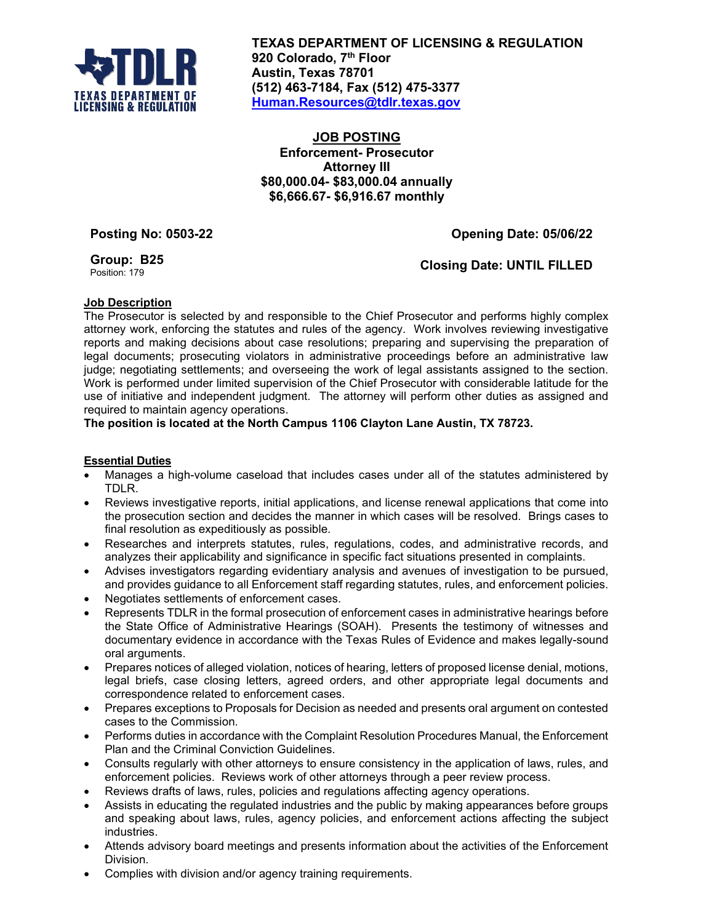

**TEXAS DEPARTMENT OF LICENSING & REGULATION 920 Colorado, 7th Floor Austin, Texas 78701 (512) 463-7184, Fax (512) 475-3377 [Human.Resources@tdlr.texas.gov](mailto:Human.Resources@tdlr.texas.gov)**

## **JOB POSTING Enforcement- Prosecutor Attorney III \$80,000.04- \$83,000.04 annually \$6,666.67- \$6,916.67 monthly**

**Posting No: 0503-22 Opening Date: 05/06/22**

**Group: B25**

**Closing Date: UNTIL FILLED** 

# **Job Description**

The Prosecutor is selected by and responsible to the Chief Prosecutor and performs highly complex attorney work, enforcing the statutes and rules of the agency. Work involves reviewing investigative reports and making decisions about case resolutions; preparing and supervising the preparation of legal documents; prosecuting violators in administrative proceedings before an administrative law judge; negotiating settlements; and overseeing the work of legal assistants assigned to the section. Work is performed under limited supervision of the Chief Prosecutor with considerable latitude for the use of initiative and independent judgment. The attorney will perform other duties as assigned and required to maintain agency operations.

**The position is located at the North Campus 1106 Clayton Lane Austin, TX 78723.**

### **Essential Duties**

- Manages a high-volume caseload that includes cases under all of the statutes administered by TDLR.
- Reviews investigative reports, initial applications, and license renewal applications that come into the prosecution section and decides the manner in which cases will be resolved. Brings cases to final resolution as expeditiously as possible.
- Researches and interprets statutes, rules, regulations, codes, and administrative records, and analyzes their applicability and significance in specific fact situations presented in complaints.
- Advises investigators regarding evidentiary analysis and avenues of investigation to be pursued, and provides guidance to all Enforcement staff regarding statutes, rules, and enforcement policies.
- Negotiates settlements of enforcement cases.
- Represents TDLR in the formal prosecution of enforcement cases in administrative hearings before the State Office of Administrative Hearings (SOAH). Presents the testimony of witnesses and documentary evidence in accordance with the Texas Rules of Evidence and makes legally-sound oral arguments.
- Prepares notices of alleged violation, notices of hearing, letters of proposed license denial, motions, legal briefs, case closing letters, agreed orders, and other appropriate legal documents and correspondence related to enforcement cases.
- Prepares exceptions to Proposals for Decision as needed and presents oral argument on contested cases to the Commission.
- Performs duties in accordance with the Complaint Resolution Procedures Manual, the Enforcement Plan and the Criminal Conviction Guidelines.
- Consults regularly with other attorneys to ensure consistency in the application of laws, rules, and enforcement policies. Reviews work of other attorneys through a peer review process.
- Reviews drafts of laws, rules, policies and regulations affecting agency operations.
- Assists in educating the regulated industries and the public by making appearances before groups and speaking about laws, rules, agency policies, and enforcement actions affecting the subject industries.
- Attends advisory board meetings and presents information about the activities of the Enforcement Division.
- Complies with division and/or agency training requirements.